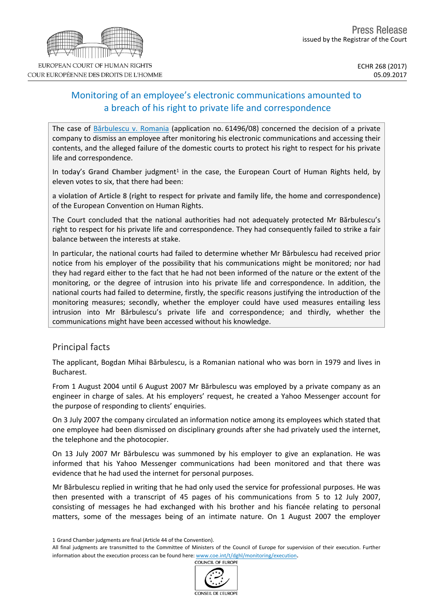# Monitoring of an employee's electronic communications amounted to a breach of his right to private life and correspondence

The case of [Bărbulescu](http://hudoc.echr.coe.int/eng?i=001-177082) v. Romania (application no. 61496/08) concerned the decision of a private company to dismiss an employee after monitoring his electronic communications and accessing their contents, and the alleged failure of the domestic courts to protect his right to respect for his private life and correspondence.

In today's Grand Chamber judgment<sup>1</sup> in the case, the European Court of Human Rights held, by eleven votes to six, that there had been:

**a violation of Article 8 (right to respect for private and family life, the home and correspondence)** of the European Convention on Human Rights.

The Court concluded that the national authorities had not adequately protected Mr Bărbulescu's right to respect for his private life and correspondence. They had consequently failed to strike a fair balance between the interests at stake.

In particular, the national courts had failed to determine whether Mr Bărbulescu had received prior notice from his employer of the possibility that his communications might be monitored; nor had they had regard either to the fact that he had not been informed of the nature or the extent of the monitoring, or the degree of intrusion into his private life and correspondence. In addition, the national courts had failed to determine, firstly, the specific reasons justifying the introduction of the monitoring measures; secondly, whether the employer could have used measures entailing less intrusion into Mr Bărbulescu's private life and correspondence; and thirdly, whether the communications might have been accessed without his knowledge.

## Principal facts

The applicant, Bogdan Mihai Bărbulescu, is a Romanian national who was born in 1979 and lives in Bucharest.

From 1 August 2004 until 6 August 2007 Mr Bărbulescu was employed by a private company as an engineer in charge of sales. At his employers' request, he created a Yahoo Messenger account for the purpose of responding to clients' enquiries.

On 3 July 2007 the company circulated an information notice among its employees which stated that one employee had been dismissed on disciplinary grounds after she had privately used the internet, the telephone and the photocopier.

On 13 July 2007 Mr Bărbulescu was summoned by his employer to give an explanation. He was informed that his Yahoo Messenger communications had been monitored and that there was evidence that he had used the internet for personal purposes.

Mr Bărbulescu replied in writing that he had only used the service for professional purposes. He was then presented with a transcript of 45 pages of his communications from 5 to 12 July 2007, consisting of messages he had exchanged with his brother and his fiancée relating to personal matters, some of the messages being of an intimate nature. On 1 August 2007 the employer

All final judgments are transmitted to the Committee of Ministers of the Council of Europe for supervision of their execution. Further information about the execution process can be found here: [www.coe.int/t/dghl/monitoring/execution](http://www.coe.int/t/dghl/monitoring/execution).



<sup>1</sup> Grand Chamber judgments are final (Article 44 of the Convention).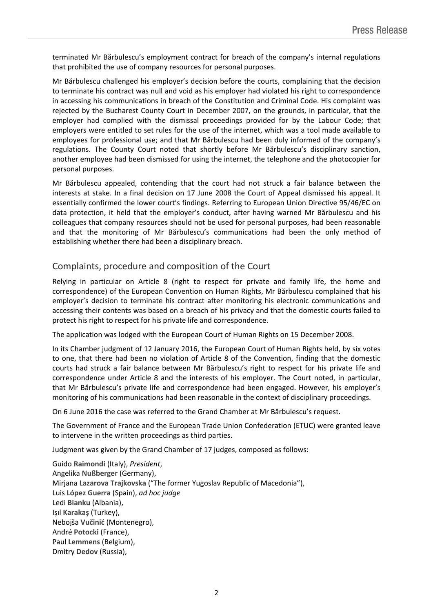terminated Mr Bărbulescu's employment contract for breach of the company's internal regulations that prohibited the use of company resources for personal purposes.

Mr Bărbulescu challenged his employer's decision before the courts, complaining that the decision to terminate his contract was null and void as his employer had violated his right to correspondence in accessing his communications in breach of the Constitution and Criminal Code. His complaint was rejected by the Bucharest County Court in December 2007, on the grounds, in particular, that the employer had complied with the dismissal proceedings provided for by the Labour Code; that employers were entitled to set rules for the use of the internet, which was a tool made available to employees for professional use; and that Mr Bărbulescu had been duly informed of the company's regulations. The County Court noted that shortly before Mr Bărbulescu's disciplinary sanction, another employee had been dismissed for using the internet, the telephone and the photocopier for personal purposes.

Mr Bărbulescu appealed, contending that the court had not struck a fair balance between the interests at stake. In a final decision on 17 June 2008 the Court of Appeal dismissed his appeal. It essentially confirmed the lower court's findings. Referring to European Union Directive 95/46/EC on data protection, it held that the employer's conduct, after having warned Mr Bărbulescu and his colleagues that company resources should not be used for personal purposes, had been reasonable and that the monitoring of Mr Bărbulescu's communications had been the only method of establishing whether there had been a disciplinary breach.

### Complaints, procedure and composition of the Court

Relying in particular on Article 8 (right to respect for private and family life, the home and correspondence) of the European Convention on Human Rights, Mr Bărbulescu complained that his employer's decision to terminate his contract after monitoring his electronic communications and accessing their contents was based on a breach of his privacy and that the domestic courts failed to protect his right to respect for his private life and correspondence.

The application was lodged with the European Court of Human Rights on 15 December 2008.

In its Chamber judgment of 12 January 2016, the European Court of Human Rights held, by six votes to one, that there had been no violation of Article 8 of the Convention, finding that the domestic courts had struck a fair balance between Mr Bărbulescu's right to respect for his private life and correspondence under Article 8 and the interests of his employer. The Court noted, in particular, that Mr Bărbulescu's private life and correspondence had been engaged. However, his employer's monitoring of his communications had been reasonable in the context of disciplinary proceedings.

On 6 June 2016 the case was referred to the Grand Chamber at Mr Bărbulescu's request.

The Government of France and the European Trade Union Confederation (ETUC) were granted leave to intervene in the written proceedings as third parties.

Judgment was given by the Grand Chamber of 17 judges, composed as follows:

Guido **Raimondi** (Italy), *President*, Angelika **Nußberger** (Germany), Mirjana **Lazarova Trajkovska** ("The former Yugoslav Republic of Macedonia"), Luis **López Guerra** (Spain), *ad hoc judge* Ledi **Bianku** (Albania), Işıl **Karakaş** (Turkey), Nebojša **Vučinić** (Montenegro), André **Potocki** (France), Paul **Lemmens** (Belgium), Dmitry **Dedov** (Russia),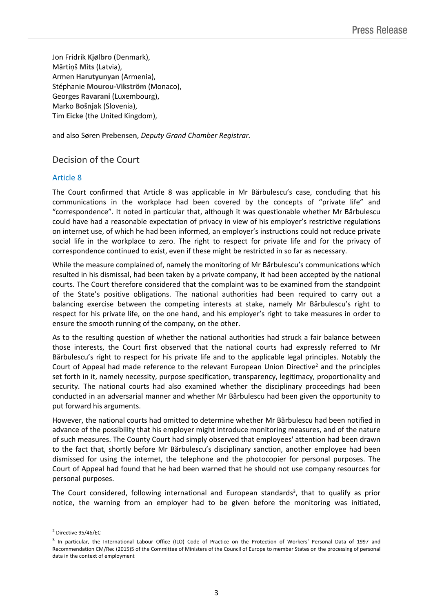Jon Fridrik **Kjølbro** (Denmark), Mārtiņš **Mits** (Latvia), Armen **Harutyunyan** (Armenia), Stéphanie **Mourou-Vikström** (Monaco), Georges **Ravarani** (Luxembourg), Marko **Bošnjak** (Slovenia), Tim **Eicke** (the United Kingdom),

and also Søren **Prebensen**, *Deputy Grand Chamber Registrar.*

### Decision of the Court

#### Article 8

The Court confirmed that Article 8 was applicable in Mr Bărbulescu's case, concluding that his communications in the workplace had been covered by the concepts of "private life" and "correspondence". It noted in particular that, although it was questionable whether Mr Bărbulescu could have had a reasonable expectation of privacy in view of his employer's restrictive regulations on internet use, of which he had been informed, an employer's instructions could not reduce private social life in the workplace to zero. The right to respect for private life and for the privacy of correspondence continued to exist, even if these might be restricted in so far as necessary.

While the measure complained of, namely the monitoring of Mr Bărbulescu's communications which resulted in his dismissal, had been taken by a private company, it had been accepted by the national courts. The Court therefore considered that the complaint was to be examined from the standpoint of the State's positive obligations. The national authorities had been required to carry out a balancing exercise between the competing interests at stake, namely Mr Bărbulescu's right to respect for his private life, on the one hand, and his employer's right to take measures in order to ensure the smooth running of the company, on the other.

As to the resulting question of whether the national authorities had struck a fair balance between those interests, the Court first observed that the national courts had expressly referred to Mr Bărbulescu's right to respect for his private life and to the applicable legal principles. Notably the Court of Appeal had made reference to the relevant European Union Directive<sup>2</sup> and the principles set forth in it, namely necessity, purpose specification, transparency, legitimacy, proportionality and security. The national courts had also examined whether the disciplinary proceedings had been conducted in an adversarial manner and whether Mr Bărbulescu had been given the opportunity to put forward his arguments.

However, the national courts had omitted to determine whether Mr Bărbulescu had been notified in advance of the possibility that his employer might introduce monitoring measures, and of the nature of such measures. The County Court had simply observed that employees' attention had been drawn to the fact that, shortly before Mr Bărbulescu's disciplinary sanction, another employee had been dismissed for using the internet, the telephone and the photocopier for personal purposes. The Court of Appeal had found that he had been warned that he should not use company resources for personal purposes.

The Court considered, following international and European standards<sup>3</sup>, that to qualify as prior notice, the warning from an employer had to be given before the monitoring was initiated,

<sup>2</sup> Directive 95/46/EC

<sup>&</sup>lt;sup>3</sup> In particular, the International Labour Office (ILO) Code of Practice on the Protection of Workers' Personal Data of 1997 and Recommendation CM/Rec (2015)5 of the Committee of Ministers of the Council of Europe to member States on the processing of personal data in the context of employment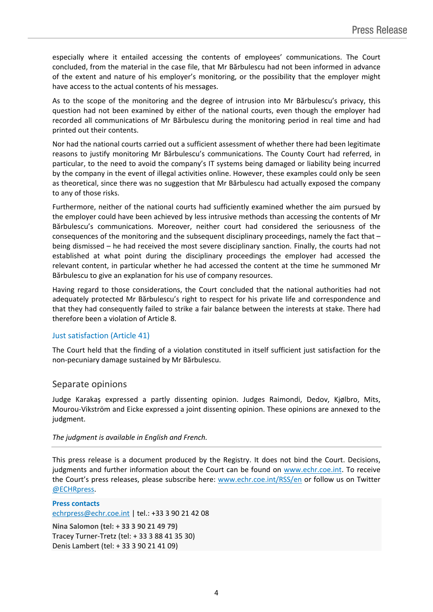especially where it entailed accessing the contents of employees' communications. The Court concluded, from the material in the case file, that Mr Bărbulescu had not been informed in advance of the extent and nature of his employer's monitoring, or the possibility that the employer might have access to the actual contents of his messages.

As to the scope of the monitoring and the degree of intrusion into Mr Bărbulescu's privacy, this question had not been examined by either of the national courts, even though the employer had recorded all communications of Mr Bărbulescu during the monitoring period in real time and had printed out their contents.

Nor had the national courts carried out a sufficient assessment of whether there had been legitimate reasons to justify monitoring Mr Bărbulescu's communications. The County Court had referred, in particular, to the need to avoid the company's IT systems being damaged or liability being incurred by the company in the event of illegal activities online. However, these examples could only be seen as theoretical, since there was no suggestion that Mr Bărbulescu had actually exposed the company to any of those risks.

Furthermore, neither of the national courts had sufficiently examined whether the aim pursued by the employer could have been achieved by less intrusive methods than accessing the contents of Mr Bărbulescu's communications. Moreover, neither court had considered the seriousness of the consequences of the monitoring and the subsequent disciplinary proceedings, namely the fact that – being dismissed – he had received the most severe disciplinary sanction. Finally, the courts had not established at what point during the disciplinary proceedings the employer had accessed the relevant content, in particular whether he had accessed the content at the time he summoned Mr Bărbulescu to give an explanation for his use of company resources.

Having regard to those considerations, the Court concluded that the national authorities had not adequately protected Mr Bărbulescu's right to respect for his private life and correspondence and that they had consequently failed to strike a fair balance between the interests at stake. There had therefore been a violation of Article 8.

#### Just satisfaction (Article 41)

The Court held that the finding of a violation constituted in itself sufficient just satisfaction for the non-pecuniary damage sustained by Mr Bărbulescu.

#### Separate opinions

Judge Karakaş expressed a partly dissenting opinion. Judges Raimondi, Dedov, Kjølbro, Mits, Mourou-Vikström and Eicke expressed a joint dissenting opinion. These opinions are annexed to the judgment.

#### *The judgment is available in English and French.*

This press release is a document produced by the Registry. It does not bind the Court. Decisions, judgments and further information about the Court can be found on [www.echr.coe.int](http://www.echr.coe.int/). To receive the Court's press releases, please subscribe here: [www.echr.coe.int/RSS/en](http://www.echr.coe.int/RSS/en) or follow us on Twitter [@ECHRpress.](https://twitter.com/ECHR_Press)

**Press contacts** [echrpress@echr.coe.int](mailto:Echrpress@echr.coe.int) | tel.: +33 3 90 21 42 08

**Nina Salomon (tel: + 33 3 90 21 49 79)** Tracey Turner-Tretz (tel: + 33 3 88 41 35 30) Denis Lambert (tel: + 33 3 90 21 41 09)